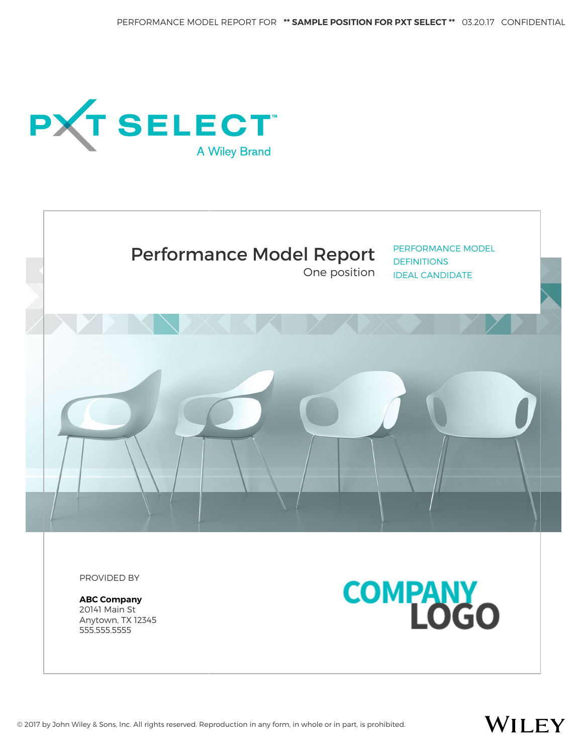One position





PERFORMANCE MODEL **DEFINITIONS** IDEAL CANDIDATE



PROVIDED BY

**ABC Company** 20141 Main St Anytown, TX 12345 555.555.5555



WILEY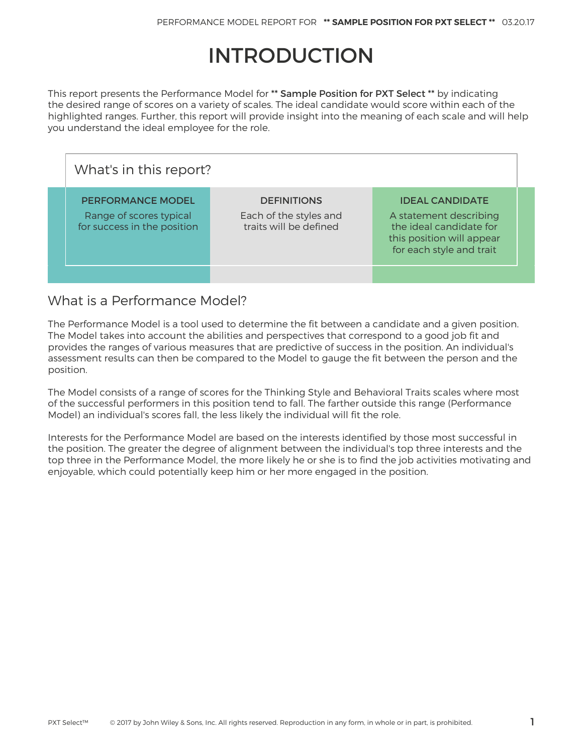# INTRODUCTION

This report presents the Performance Model for \*\* Sample Position for PXT Select \*\* by indicating the desired range of scores on a variety of scales. The ideal candidate would score within each of the highlighted ranges. Further, this report will provide insight into the meaning of each scale and will help you understand the ideal employee for the role.

| What's in this report?                                                             |                                                                        |                                                                                                                                      |  |  |  |  |  |  |
|------------------------------------------------------------------------------------|------------------------------------------------------------------------|--------------------------------------------------------------------------------------------------------------------------------------|--|--|--|--|--|--|
| <b>PERFORMANCE MODEL</b><br>Range of scores typical<br>for success in the position | <b>DEFINITIONS</b><br>Each of the styles and<br>traits will be defined | <b>IDEAL CANDIDATE</b><br>A statement describing<br>the ideal candidate for<br>this position will appear<br>for each style and trait |  |  |  |  |  |  |
|                                                                                    |                                                                        |                                                                                                                                      |  |  |  |  |  |  |

## What is a Performance Model?

The Performance Model is a tool used to determine the fit between a candidate and a given position. The Model takes into account the abilities and perspectives that correspond to a good job fit and provides the ranges of various measures that are predictive of success in the position. An individual's assessment results can then be compared to the Model to gauge the fit between the person and the position.

The Model consists of a range of scores for the Thinking Style and Behavioral Traits scales where most of the successful performers in this position tend to fall. The farther outside this range (Performance Model) an individual's scores fall, the less likely the individual will fit the role.

Interests for the Performance Model are based on the interests identified by those most successful in the position. The greater the degree of alignment between the individual's top three interests and the top three in the Performance Model, the more likely he or she is to find the job activities motivating and enjoyable, which could potentially keep him or her more engaged in the position.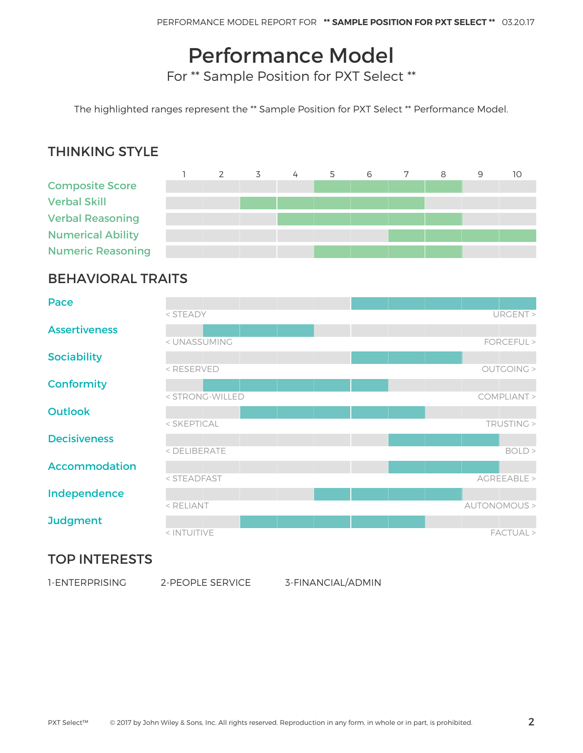## Performance Model

For \*\* Sample Position for PXT Select \*\*

The highlighted ranges represent the \*\* Sample Position for PXT Select \*\* Performance Model.

## THINKING STYLE



## BEHAVIORAL TRAITS

| Pace                                                |              |
|-----------------------------------------------------|--------------|
| < STEADY                                            | URGENT >     |
| <b>Assertiveness</b>                                |              |
| < UNASSUMING                                        | FORCEFUL >   |
| <b>Sociability</b>                                  |              |
| <reserved< th=""><td>OUTGOING &gt;</td></reserved<> | OUTGOING >   |
| <b>Conformity</b>                                   |              |
| < STRONG-WILLED                                     | COMPLIANT >  |
| <b>Outlook</b>                                      |              |
| < SKEPTICAL                                         | TRUSTING >   |
| <b>Decisiveness</b>                                 |              |
| < DELIBERATE                                        | BOLD >       |
| <b>Accommodation</b>                                |              |
| < STEADFAST                                         | AGREEABLE >  |
| Independence                                        |              |
| < RELIANT                                           | AUTONOMOUS > |
| <b>Judgment</b>                                     |              |
| < INTUITIVE                                         | FACTUAL >    |

### TOP INTERESTS

2-PEOPLE SERVICE 3-FINANCIAL/ADMIN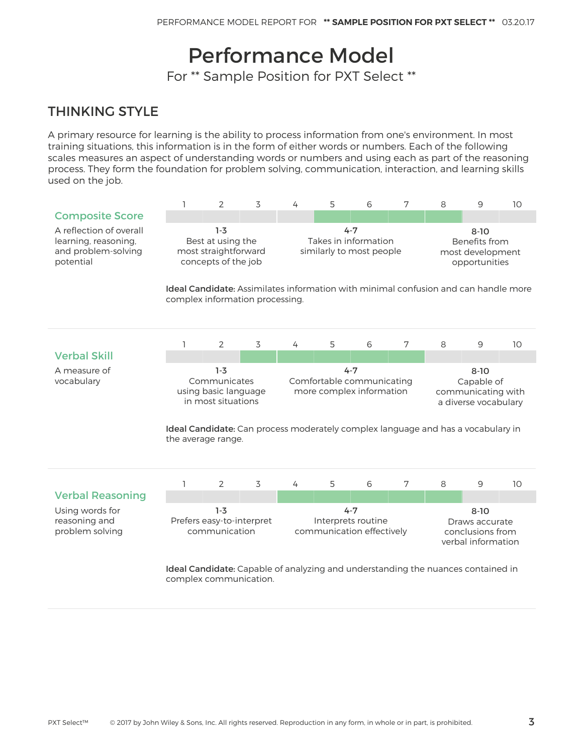## Performance Model

For \*\* Sample Position for PXT Select \*\*

## THINKING STYLE

A primary resource for learning is the ability to process information from one's environment. In most training situations, this information is in the form of either words or numbers. Each of the following scales measures an aspect of understanding words or numbers and using each as part of the reasoning process. They form the foundation for problem solving, communication, interaction, and learning skills used on the job.

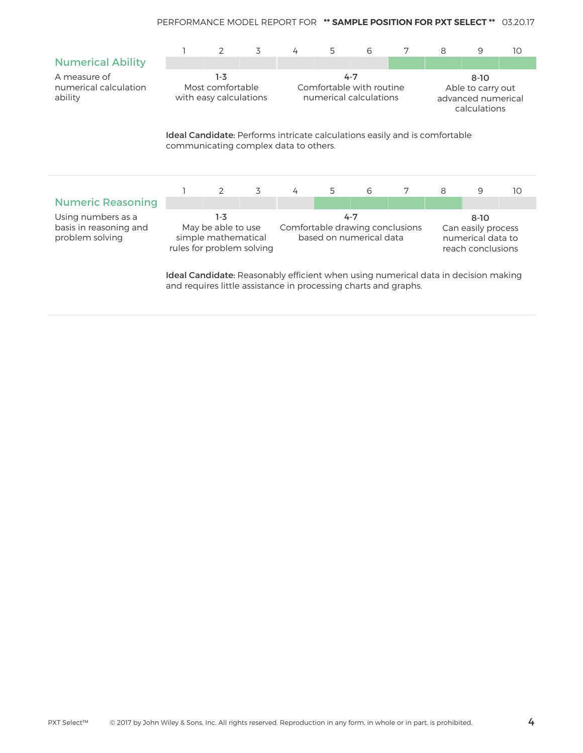|                                                                                                                                                              |                                                                                 | 2 | 3                                                                     | 4                                                             | 5 | 6                                                                      | 7                                                                   | 8 | 9 | 10 |  |  |
|--------------------------------------------------------------------------------------------------------------------------------------------------------------|---------------------------------------------------------------------------------|---|-----------------------------------------------------------------------|---------------------------------------------------------------|---|------------------------------------------------------------------------|---------------------------------------------------------------------|---|---|----|--|--|
| <b>Numerical Ability</b>                                                                                                                                     |                                                                                 |   |                                                                       |                                                               |   |                                                                        |                                                                     |   |   |    |  |  |
| A measure of<br>numerical calculation<br>ability                                                                                                             | $1-3$<br>Most comfortable<br>with easy calculations                             |   |                                                                       | $4 - 7$<br>Comfortable with routine<br>numerical calculations |   |                                                                        | $8 - 10$<br>Able to carry out<br>advanced numerical<br>calculations |   |   |    |  |  |
| <b>Ideal Candidate</b> : Performs intricate calculations easily and is comfortable<br>communicating complex data to others.                                  |                                                                                 |   |                                                                       |                                                               |   |                                                                        |                                                                     |   |   |    |  |  |
|                                                                                                                                                              |                                                                                 | 2 | 3                                                                     | 4                                                             | 5 | 6                                                                      | 7                                                                   | 8 | 9 | 10 |  |  |
| <b>Numeric Reasoning</b>                                                                                                                                     |                                                                                 |   |                                                                       |                                                               |   |                                                                        |                                                                     |   |   |    |  |  |
| Using numbers as a<br>basis in reasoning and<br>problem solving                                                                                              | $1-3$<br>May be able to use<br>simple mathematical<br>rules for problem solving |   | $4 - 7$<br>Comfortable drawing conclusions<br>based on numerical data |                                                               |   | $8-10$<br>Can easily process<br>numerical data to<br>reach conclusions |                                                                     |   |   |    |  |  |
| <b>Ideal Candidate:</b> Reasonably efficient when using numerical data in decision making<br>and requires little assistance in processing charts and graphs. |                                                                                 |   |                                                                       |                                                               |   |                                                                        |                                                                     |   |   |    |  |  |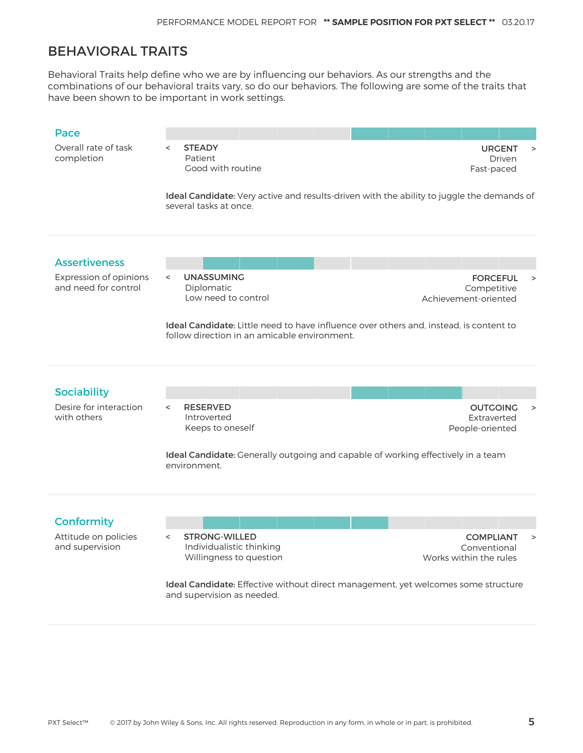### BEHAVIORAL TRAITS

Behavioral Traits help define who we are by influencing our behaviors. As our strengths and the combinations of our behavioral traits vary, so do our behaviors. The following are some of the traits that have been shown to be important in work settings.

#### Pace

Overall rate of task completion

< STEADY Patient Good with routine

URGENT > Driven Fast-paced

Ideal Candidate: Very active and results-driven with the ability to juggle the demands of several tasks at once.

#### Assertiveness

Expression of opinions and need for control

< UNASSUMING Diplomatic Low need to control

FORCEFUL > Competitive Achievement-oriented

Ideal Candidate: Little need to have influence over others and, instead, is content to follow direction in an amicable environment.

#### **Sociability**

Desire for interaction with others

< RESERVED Introverted Keeps to oneself

OUTGOING > Extraverted People-oriented

Ideal Candidate: Generally outgoing and capable of working effectively in a team environment.

#### **Conformity**

Attitude on policies and supervision

< STRONG-WILLED Individualistic thinking Willingness to question

COMPLIANT > Conventional Works within the rules

Ideal Candidate: Effective without direct management, yet welcomes some structure and supervision as needed.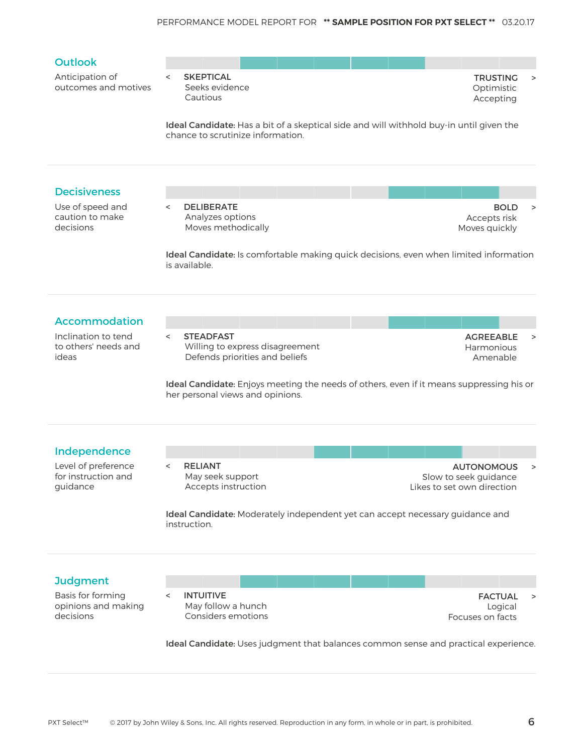

Ideal Candidate: Moderately independent yet can accept necessary guidance and instruction.

#### **Judgment**

Basis for forming opinions and making decisions

< INTUITIVE May follow a hunch Considers emotions

FACTUAL > Logical Focuses on facts

Ideal Candidate: Uses judgment that balances common sense and practical experience.